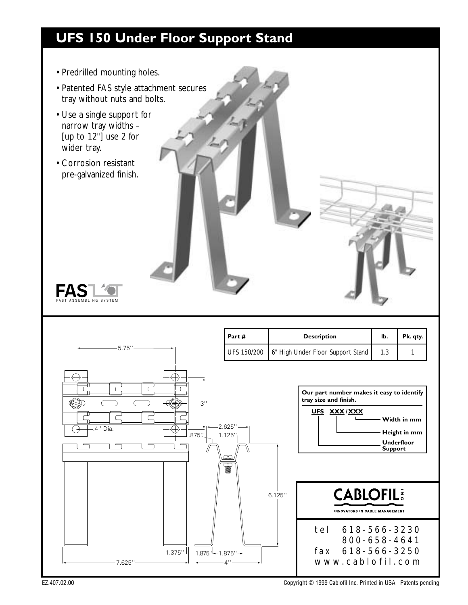## **UFS 150 Under Floor Support Stand**

- Predrilled mounting holes.
- Patented FAS style attachment secures tray without nuts and bolts.
- Use a single support for narrow tray widths – [up to 12"] use 2 for wider tray.
- Corrosion resistant pre-galvanized finish.